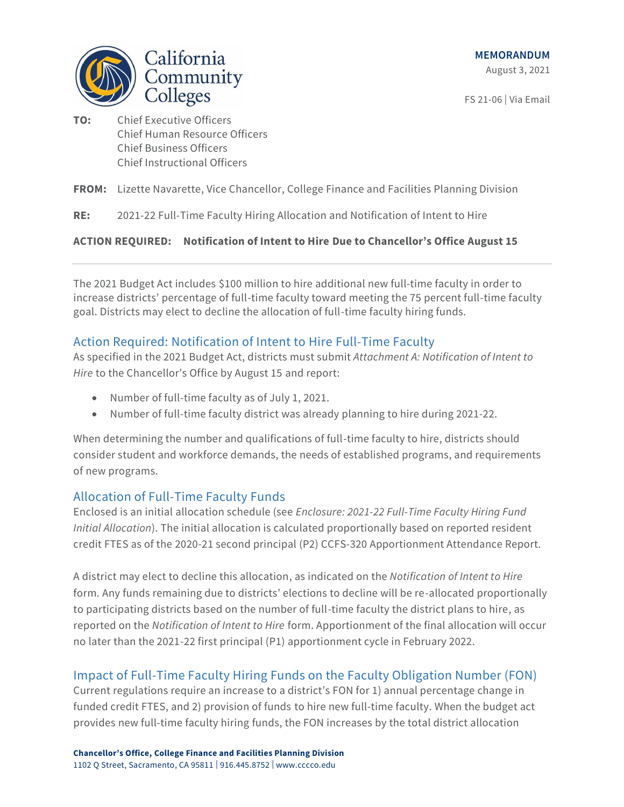

FS 21-06 | Via Email

**TO:** Chief Executive Officers Chief Human Resource Officers Chief Business Officers Chief Instructional Officers

### **FROM:** Lizette Navarette, Vice Chancellor, College Finance and Facilities Planning Division

**RE:** 2021-22 Full-Time Faculty Hiring Allocation and Notification of Intent to Hire

### **ACTION REQUIRED: Notification of Intent to Hire Due to Chancellor's Office August 15**

The 2021 Budget Act includes \$100 million to hire additional new full-time faculty in order to increase districts' percentage of full-time faculty toward meeting the 75 percent full-time faculty goal. Districts may elect to decline the allocation of full-time faculty hiring funds.

## Action Required: Notification of Intent to Hire Full-Time Faculty

As specified in the 2021 Budget Act, districts must submit *Attachment A: Notification of Intent to Hire* to the Chancellor's Office by August 15 and report:

- Number of full-time faculty as of July 1, 2021.
- Number of full-time faculty district was already planning to hire during 2021-22.

When determining the number and qualifications of full-time faculty to hire, districts should consider student and workforce demands, the needs of established programs, and requirements of new programs.

## Allocation of Full-Time Faculty Funds

Enclosed is an initial allocation schedule (see *Enclosure: 2021-22 Full-Time Faculty Hiring Fund Initial Allocation*). The initial allocation is calculated proportionally based on reported resident credit FTES as of the 2020-21 second principal (P2) CCFS-320 Apportionment Attendance Report.

A district may elect to decline this allocation, as indicated on the *Notification of Intent to Hire* form. Any funds remaining due to districts' elections to decline will be re-allocated proportionally to participating districts based on the number of full-time faculty the district plans to hire, as reported on the *Notification of Intent to Hire* form. Apportionment of the final allocation will occur no later than the 2021-22 first principal (P1) apportionment cycle in February 2022.

# Impact of Full-Time Faculty Hiring Funds on the Faculty Obligation Number (FON)

Current regulations require an increase to a district's FON for 1) annual percentage change in funded credit FTES, and 2) provision of funds to hire new full-time faculty. When the budget act provides new full-time faculty hiring funds, the FON increases by the total district allocation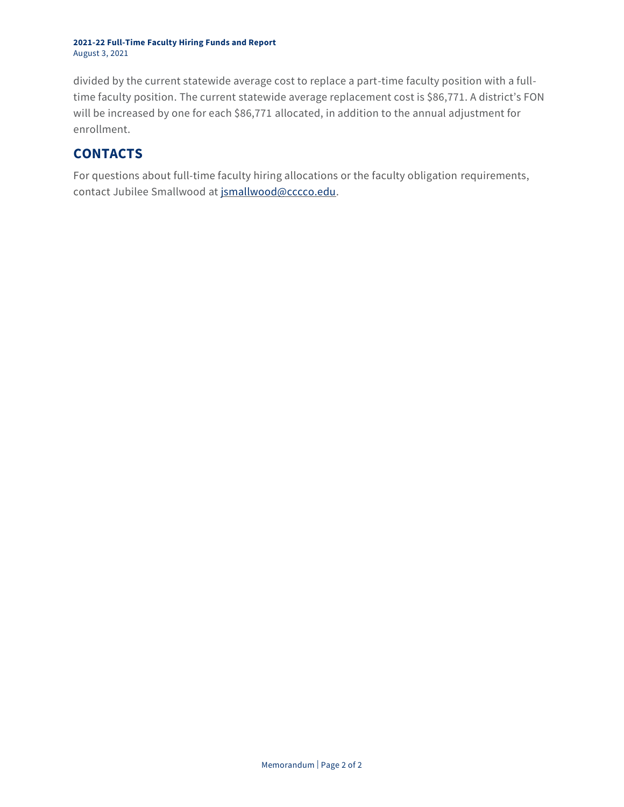#### **2021-22 Full-Time Faculty Hiring Funds and Report** August 3, 2021

divided by the current statewide average cost to replace a part-time faculty position with a fulltime faculty position. The current statewide average replacement cost is \$86,771. A district's FON will be increased by one for each \$86,771 allocated, in addition to the annual adjustment for enrollment.

# **CONTACTS**

For questions about full-time faculty hiring allocations or the faculty obligation requirements, contact Jubilee Smallwood a[t jsmallwood@cccco.edu.](mailto:jsmallwood@cccco.edu)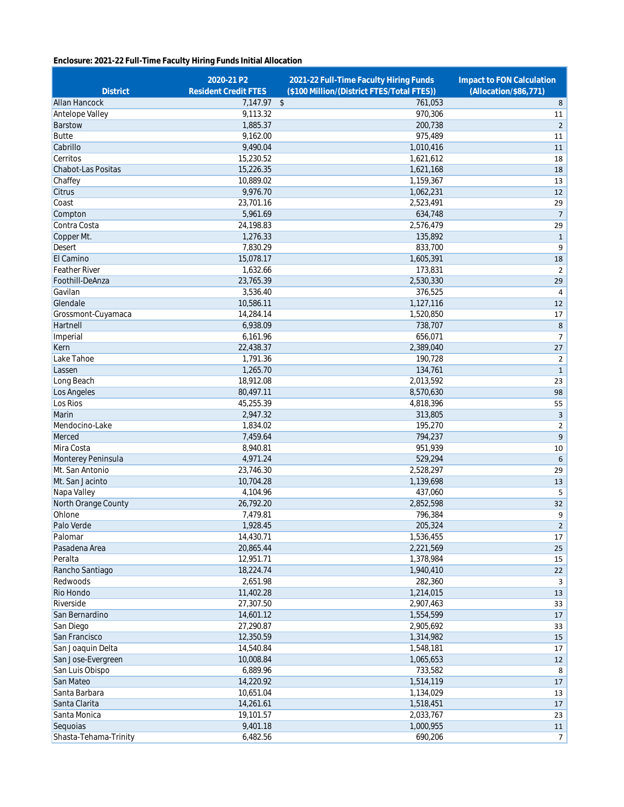### **Enclosure: 2021-22 Full-Time Faculty Hiring Funds Initial Allocation**

| <b>District</b>       | 2020-21 P2<br><b>Resident Credit FTES</b> | 2021-22 Full-Time Faculty Hiring Funds<br>(\$100 Million/(District FTES/Total FTES)) | Impact to FON Calculation<br>(Allocation/\$86,771) |
|-----------------------|-------------------------------------------|--------------------------------------------------------------------------------------|----------------------------------------------------|
| Allan Hancock         | 7,147.97 \$                               | 761,053                                                                              | 8                                                  |
| Antelope Valley       | 9,113.32                                  | 970,306                                                                              | 11                                                 |
| Barstow               | 1,885.37                                  | 200,738                                                                              | $\overline{2}$                                     |
| <b>Butte</b>          | 9,162.00                                  | 975,489                                                                              | 11                                                 |
| Cabrillo              | 9,490.04                                  | 1,010,416                                                                            | 11                                                 |
| Cerritos              | 15,230.52                                 | 1,621,612                                                                            | 18                                                 |
| Chabot-Las Positas    | 15,226.35                                 | 1,621,168                                                                            | 18                                                 |
| Chaffey               | 10,889.02                                 | 1,159,367                                                                            | 13                                                 |
| Citrus                | 9,976.70                                  | 1,062,231                                                                            | 12                                                 |
| Coast                 | 23,701.16                                 | 2,523,491                                                                            | 29                                                 |
| Compton               | 5,961.69                                  | 634.748                                                                              | $\overline{7}$                                     |
| Contra Costa          | 24,198.83                                 | 2,576,479                                                                            | 29                                                 |
| Copper Mt.            | 1,276.33                                  | 135,892                                                                              | $\mathbf 1$                                        |
| Desert                | 7,830.29                                  | 833,700                                                                              | 9                                                  |
| El Camino             | 15,078.17                                 | 1,605,391                                                                            | 18                                                 |
| <b>Feather River</b>  | 1,632.66                                  | 173,831                                                                              | $\overline{2}$                                     |
| Foothill-DeAnza       | 23,765.39                                 | 2,530,330                                                                            | 29                                                 |
| Gavilan               | 3,536.40                                  | 376,525                                                                              | $\pmb{4}$                                          |
| Glendale              | 10,586.11                                 | 1,127,116                                                                            | 12                                                 |
| Grossmont-Cuyamaca    | 14,284.14                                 | 1,520,850                                                                            | 17                                                 |
| Hartnell              | 6,938.09                                  | 738,707                                                                              | 8                                                  |
| Imperial              | 6,161.96                                  | 656,071                                                                              | $\overline{7}$                                     |
| Kern                  | 22,438.37                                 | 2,389,040                                                                            | 27                                                 |
| Lake Tahoe            | 1,791.36                                  | 190,728                                                                              | $\overline{2}$                                     |
| Lassen                | 1,265.70                                  | 134,761                                                                              | $\mathbf{1}$                                       |
| Long Beach            | 18,912.08                                 | 2,013,592                                                                            | 23                                                 |
| Los Angeles           | 80,497.11                                 | 8,570,630                                                                            | 98                                                 |
| Los Rios              | 45,255.39                                 | 4,818,396                                                                            | 55                                                 |
| Marin                 | 2,947.32                                  | 313,805                                                                              | 3                                                  |
| Mendocino-Lake        | 1,834.02                                  | 195,270                                                                              | $\overline{2}$                                     |
| Merced                | 7,459.64                                  | 794,237                                                                              | 9                                                  |
| Mira Costa            | 8,940.81                                  | 951,939                                                                              | 10                                                 |
| Monterey Peninsula    | 4,971.24                                  | 529,294                                                                              | 6                                                  |
| Mt. San Antonio       | 23,746.30                                 | 2,528,297                                                                            | 29                                                 |
| Mt. San Jacinto       | 10,704.28                                 | 1,139,698                                                                            | 13                                                 |
| Napa Valley           | 4,104.96                                  | 437,060                                                                              | 5                                                  |
| North Orange County   | 26,792.20                                 | 2,852,598                                                                            | 32                                                 |
| Ohlone                | 7,479.81                                  | 796,384                                                                              | 9                                                  |
| Palo Verde            | 1,928.45                                  | 205.324                                                                              | $\overline{2}$                                     |
| Palomar               | 14,430.71                                 | 1,536,455                                                                            | 17                                                 |
| Pasadena Area         | 20,865.44                                 | 2,221,569                                                                            | 25                                                 |
| Peralta               | 12,951.71                                 | 1,378,984                                                                            | 15                                                 |
| Rancho Santiago       | 18,224.74                                 | 1,940,410                                                                            | 22                                                 |
| Redwoods              | 2,651.98                                  | 282,360                                                                              | 3                                                  |
| Rio Hondo             | 11,402.28                                 | 1,214,015                                                                            | 13                                                 |
| Riverside             | 27,307.50                                 | 2,907,463                                                                            | 33                                                 |
| San Bernardino        | 14,601.12                                 | 1,554,599                                                                            | 17                                                 |
| San Diego             | 27,290.87                                 | 2,905,692                                                                            | 33                                                 |
| San Francisco         | 12,350.59                                 | 1,314,982                                                                            | 15                                                 |
| San Joaquin Delta     | 14,540.84                                 | 1,548,181                                                                            | 17                                                 |
| San Jose-Evergreen    | 10,008.84                                 | 1,065,653                                                                            | 12                                                 |
| San Luis Obispo       | 6,889.96                                  | 733,582                                                                              | 8                                                  |
| San Mateo             | 14,220.92                                 | 1,514,119                                                                            | 17                                                 |
| Santa Barbara         | 10,651.04                                 | 1,134,029                                                                            | 13                                                 |
| Santa Clarita         | 14,261.61                                 | 1,518,451                                                                            | 17                                                 |
| Santa Monica          | 19,101.57                                 | 2,033,767                                                                            | 23                                                 |
| Sequoias              | 9,401.18                                  | 1,000,955                                                                            | 11                                                 |
| Shasta-Tehama-Trinity | 6,482.56                                  | 690,206                                                                              | $\overline{7}$                                     |